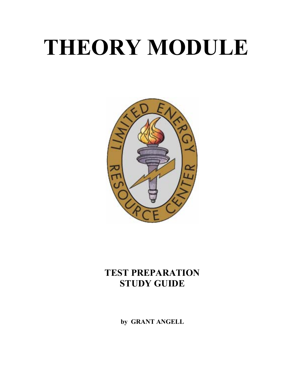# **THEORY MODULE**



## **TEST PREPARATION STUDY GUIDE**

**by GRANT ANGELL**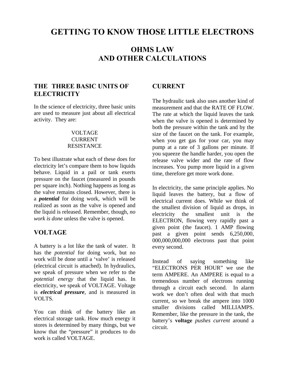## **GETTING TO KNOW THOSE LITTLE ELECTRONS**

## **OHMS LAW AND OTHER CALCULATIONS**

## **THE THREE BASIC UNITS OF ELECTRICITY**

In the science of electricity, three basic units are used to measure just about all electrical activity. They are:

#### VOLTAGE **CURRENT RESISTANCE**

To best illustrate what each of these does for electricity let's compare them to how liquids behave. Liquid in a pail or tank exerts pressure on the faucet (measured in pounds per square inch). Nothing happens as long as the valve remains closed. However, there is a *potential* for doing work, which will be realized as soon as the valve is opened and the liquid is released. Remember, though, *no work is done* unless the valve is opened.

## **VOLTAGE**

A battery is a lot like the tank of water. It has the *potential* for doing work, but no work will be done until a 'valve' is released (electrical circuit is attached). In hydraulics, we speak of pressure when we refer to the *potential energy* that the liquid has. In electricity, we speak of VOLTAGE. Voltage is *electrical pressure*, and is measured in VOLTS.

You can think of the battery like an electrical storage tank. How much energy it stores is determined by many things, but we know that the "pressure" it produces to do work is called VOLTAGE.

## **CURRENT**

The hydraulic tank also uses another kind of measurement and that the RATE OF FLOW. The rate at which the liquid leaves the tank when the valve is opened is determined by both the pressure within the tank and by the size of the faucet on the tank. For example, when you get gas for your car, you may pump at a rate of 3 gallons per minute. If you squeeze the handle harder, you open the release valve wider and the rate of flow increases. You pump more liquid in a given time, therefore get more work done.

In electricity, the same principle applies. No liquid leaves the battery, but a flow of electrical current does. While we think of the smallest division of liquid as drops, in electricity the smallest unit is the ELECTRON, flowing very rapidly past a given point (the faucet). 1 AMP flowing past a given point sends 6,250,000, 000,000,000,000 electrons past that point every second.

Instead of saying something like "ELECTRONS PER HOUR" we use the term AMPERE. An AMPERE is equal to a tremendous number of electrons running through a circuit each second. In alarm work we don't often deal with that much current, so we break the ampere into 1000 smaller divisions called MILLIAMPS. Remember, like the pressure in the tank, the battery's **voltage** *pushes current* around a circuit.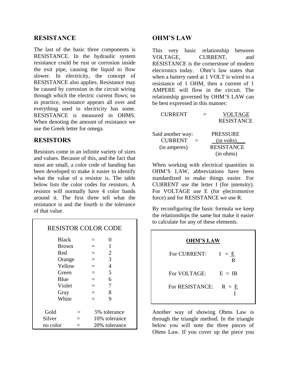### **RESISTANCE**

The last of the basic three components is RESISTANCE. In the hydraulic system resistance could be rust or corrosion inside the exit pipe, causing the liquid to flow slower. In electricity, the concept of RESISTANCE also applies. Resistance may be caused by corrosion in the circuit wiring through which the electric current flows; so in practice, resistance appears all over and everything used in electricity has some. RESISTANCE is measured in OHMS. When denoting the amount of resistance we use the Greek letter for omega*.* 

#### **RESISTORS**

Resistors come in an infinite variety of sizes and values. Because of this, and the fact that most are small, a color code of banding has been developed to make it easier to identify what the value of a resistor is. The table below lists the color codes for resistors. A resistor will normally have 4 color bands around it. The first three tell what the resistance is and the fourth is the tolerance of that value.

| <b>RESISTOR COLOR CODE</b> |     |               |                |  |  |  |  |
|----------------------------|-----|---------------|----------------|--|--|--|--|
| <b>Black</b>               |     | $=$           | 0              |  |  |  |  |
| <b>Brown</b>               |     |               | 1              |  |  |  |  |
| Red                        |     | $=$           | 2              |  |  |  |  |
| Orange                     |     | $=$           | 3              |  |  |  |  |
| Yellow                     |     | $=$           | $\overline{4}$ |  |  |  |  |
| Green                      |     | $=$           | 5              |  |  |  |  |
| Blue                       |     | $=$           | 6              |  |  |  |  |
| Violet                     |     | $=$           | 7              |  |  |  |  |
| Gray                       |     | $=$           | 8              |  |  |  |  |
| White                      |     | —             | 9              |  |  |  |  |
|                            |     |               |                |  |  |  |  |
| Gold                       |     |               | 5% tolerance   |  |  |  |  |
| Silver                     | $=$ |               | 10% tolerance  |  |  |  |  |
| no color                   |     | 20% tolerance |                |  |  |  |  |

## **OHM'S LAW**

This very basic relationship between VOLTAGE, CURRENT, and RESISTANCE is the cornerstone of modern electronics today. Ohm's law states that when a battery rated at 1 VOLT is wired to a resistance of 1 OHM, then a current of 1 AMPERE will flow in the circuit. The relationship governed by OHM'S LAW can be best expressed in this manner:

| <b>CURRENT</b>    |  | <b>VOLTAGE</b>    |
|-------------------|--|-------------------|
|                   |  | <b>RESISTANCE</b> |
|                   |  | <b>PRESSURE</b>   |
| Said another way: |  |                   |
| <b>CURRENT</b>    |  | (in volts)        |
| (in amperes)      |  | <b>RESISTANCE</b> |
|                   |  | (in ohms)         |

When working with electrical quantities in OHM'S LAW, abbreviations have been standardized to make things easier. For CURRENT use the letter I (for intensity). For VOLTAGE use E (for electromotive force) and for RESISTANCE we use R.

By reconfiguring the basic formula we keep the relationships the same but make it easier to calculate for any of these elements.

| <b>OHM'S LAW</b> |              |  |  |  |  |  |
|------------------|--------------|--|--|--|--|--|
| For CURRENT:     | $I = E$<br>R |  |  |  |  |  |
| For VOLTAGE:     | $E = IR$     |  |  |  |  |  |
| For RESISTANCE:  | $R = E$      |  |  |  |  |  |

Another way of showing Ohms Law is through the triangle method. In the triangle below you will note the three pieces of Ohms Law. If you cover up the piece you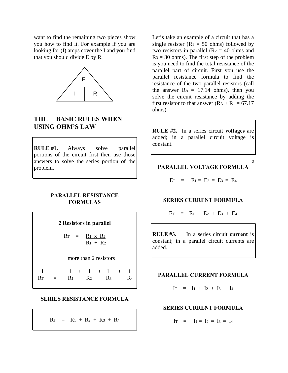want to find the remaining two pieces show you how to find it. For example if you are looking for (I) amps cover the I and you find that you should divide E by R.



## **THE BASIC RULES WHEN USING OHM'S LAW**

**RULE #1.** Always solve parallel portions of the circuit first then use those answers to solve the series portion of the problem.

#### **PARALLEL RESISTANCE FORMULAS**

**2 Resistors in parallel**  $R_T = R_1 \times R_2$  $R_1 + R_2$  more than 2 resistors  $1 + 1 + 1 + 1$  $R_{T}$  =  $R_{1}$   $R_{2}$   $R_{3}$   $R_{4}$ 

#### **SERIES RESISTANCE FORMULA**

 $R_{\text{T}} = R_1 + R_2 + R_3 + R_4$ 

Let's take an example of a circuit that has a single resister ( $R_1 = 50$  ohms) followed by two resistors in parallel  $(R_2 = 40)$  ohms and  $R_3 = 30$  ohms). The first step of the problem is you need to find the total resistance of the parallel part of circuit. First you use the parallel resistance formula to find the resistance of the two parallel resistors (call the answer  $Ra = 17.14$  ohms), then you solve the circuit resistance by adding the first resistor to that answer  $(R_A + R_1 = 67.17)$ ohms).

**RULE #2.** In a series circuit **voltages** are added; in a parallel circuit voltage is constant.

#### **PARALLEL VOLTAGE FORMULA**

3

$$
E_T = E_1 = E_2 = E_3 = E_4
$$

#### **SERIES CURRENT FORMULA**

$$
E_T = E_1 + E_2 + E_3 + E_4
$$

**RULE #3.** In a series circuit **current** is constant; in a parallel circuit currents are added.

#### **PARALLEL CURRENT FORMULA**

$$
I_T = I_1 + I_2 + I_3 + I_4
$$

#### **SERIES CURRENT FORMULA**

$$
I_T = I_1 = I_2 = I_3 = I_4
$$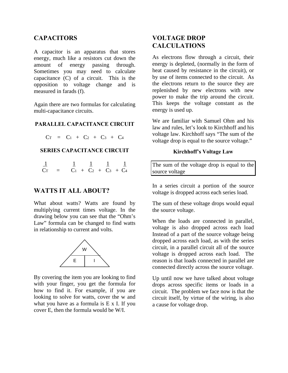## **CAPACITORS**

A capacitor is an apparatus that stores energy, much like a resistors cut down the amount of energy passing through. Sometimes you may need to calculate capacitance (C) of a circuit. This is the opposition to voltage change and is measured in farads (f).

Again there are two formulas for calculating multi-capacitance circuits.

#### **PARALLEL CAPACITANCE CIRCUIT**

 $CT = C_1 + C_2 + C_3 + C_4$ 

#### **SERIES CAPACITANCE CIRCUIT**

|  |  | $C_T = C_1 + C_2 + C_3 + C_4$ |  |
|--|--|-------------------------------|--|

#### **WATTS IT ALL ABOUT?**

What about watts? Watts are found by multiplying current times voltage. In the drawing below you can see that the "Ohm's Law" formula can be changed to find watts in relationship to current and volts.



By covering the item you are looking to find with your finger, you get the formula for how to find it. For example, if you are looking to solve for watts, cover the w and what you have as a formula is E x I. If you cover E, then the formula would be W/I.

## **VOLTAGE DROP CALCULATIONS**

As electrons flow through a circuit, their energy is depleted, (normally in the form of heat caused by resistance in the circuit), or by use of items connected to the circuit. As the electrons return to the source they are replenished by new electrons with new power to make the trip around the circuit. This keeps the voltage constant as the energy is used up.

We are familiar with Samuel Ohm and his law and rules, let's look to Kirchhoff and his voltage law. Kirchhoff says "The sum of the voltage drop is equal to the source voltage."

#### **Kirchhoff's Voltage Law**

The sum of the voltage drop is equal to the source voltage

In a series circuit a portion of the source voltage is dropped across each series load.

The sum of these voltage drops would equal the source voltage.

When the loads are connected in parallel, voltage is also dropped across each load Instead of a part of the source voltage being dropped across each load, as with the series circuit, in a parallel circuit all of the source voltage is dropped across each load. The reason is that loads connected in parallel are connected directly across the source voltage.

Up until now we have talked about voltage drops across specific items or loads in a circuit. The problem we face now is that the circuit itself, by virtue of the wiring, is also a cause for voltage drop.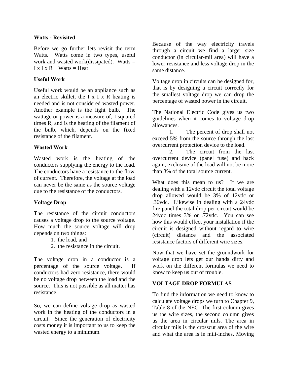#### **Watts - Revisited**

Before we go further lets revisit the term Watts. Watts come in two types, useful work and wasted work(dissipated). Watts  $=$  $I \times I \times R$  Watts = Heat

#### **Useful Work**

Useful work would be an appliance such as an electric skillet, the I x I x R heating is needed and is not considered wasted power. Another example is the light bulb. The wattage or power is a measure of, I squared times R, and is the heating of the filament of the bulb, which, depends on the fixed resistance of the filament.

#### **Wasted Work**

Wasted work is the heating of the conductors supplying the energy to the load. The conductors have a resistance to the flow of current. Therefore, the voltage at the load can never be the same as the source voltage due to the resistance of the conductors.

#### **Voltage Drop**

The resistance of the circuit conductors causes a voltage drop to the source voltage. How much the source voltage will drop depends on two things:

- 1. the load, and
- 2. the resistance in the circuit.

The voltage drop in a conductor is a percentage of the source voltage. If conductors had zero resistance, there would be no voltage drop between the load and the source. This is not possible as all matter has resistance.

So, we can define voltage drop as wasted work in the heating of the conductors in a circuit. Since the generation of electricity costs money it is important to us to keep the wasted energy to a minimum.

Because of the way electricity travels through a circuit we find a larger size conductor (in circular-mil area) will have a lower resistance and less voltage drop in the same distance.

Voltage drop in circuits can be designed for, that is by designing a circuit correctly for the smallest voltage drop we can drop the percentage of wasted power in the circuit.

The National Electric Code gives us two guidelines when it comes to voltage drop allowances.

 1. The percent of drop shall not exceed 5% from the source through the last overcurrent protection device to the load.

 2. The circuit from the last overcurrent device (panel fuse) and back again, exclusive of the load will not be more than 3% of the total source current.

What does this mean to us? If we are dealing with a 12vdc circuit the total voltage drop allowed would be 3% of 12vdc or .36vdc. Likewise in dealing with a 24vdc fire panel the total drop per circuit would be 24vdc times 3% or .72vdc. You can see how this would effect your installation if the circuit is designed without regard to wire (circuit) distance and the associated resistance factors of different wire sizes.

Now that we have set the groundwork for voltage drop lets get our hands dirty and work on the different formulas we need to know to keep us out of trouble.

#### **VOLTAGE DROP FORMULAS**

To find the information we need to know to calculate voltage drops we turn to Chapter 9, Table 8 of the NEC. The first column gives us the wire sizes, the second column gives us the area in circular mils. The area in circular mils is the crosscut area of the wire and what the area is in mili-inches. Moving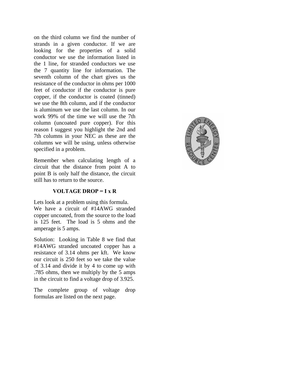on the third column we find the number of strands in a given conductor. If we are looking for the properties of a solid conductor we use the information listed in the 1 line, for stranded conductors we use the 7 quantity line for information. The seventh column of the chart gives us the resistance of the conductor in ohms per 1000 feet of conductor if the conductor is pure copper, if the conductor is coated (tinned) we use the 8th column, and if the conductor is aluminum we use the last column. In our work 99% of the time we will use the 7th column (uncoated pure copper). For this reason I suggest you highlight the 2nd and 7th columns in your NEC as these are the columns we will be using, unless otherwise specified in a problem.

Remember when calculating length of a circuit that the distance from point A to point B is only half the distance, the circuit still has to return to the source.

#### **VOLTAGE DROP = I x R**

Lets look at a problem using this formula. We have a circuit of #14AWG stranded copper uncoated, from the source to the load is 125 feet. The load is 5 ohms and the amperage is 5 amps.

Solution: Looking in Table 8 we find that #14AWG stranded uncoated copper has a resistance of 3.14 ohms per kft. We know our circuit is 250 feet so we take the value of 3.14 and divide it by 4 to come up with .785 ohms, then we multiply by the 5 amps in the circuit to find a voltage drop of 3.925.

The complete group of voltage drop formulas are listed on the next page.

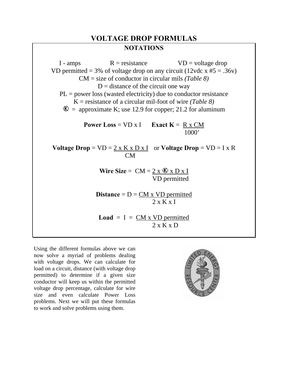## **VOLTAGE DROP FORMULAS NOTATIONS**

 $I$  - amps  $R =$  resistance  $VD =$  voltage drop VD permitted = 3% of voltage drop on any circuit (12vdc x  $#5 = .36v$ ) CM = size of conductor in circular mils *(Table 8)*  $D =$  distance of the circuit one way  $PL = power loss$  (wasted electricity) due to conductor resistance K = resistance of a circular mil-foot of wire *(Table 8)*  $\Phi$  = approximate K; use 12.9 for copper; 21.2 for aluminum **Power Loss** =  $VD \times I$  **Exact K** = R x CM 1000' **Voltage Drop** =  $VD = 2 \times K \times D \times I$  or **Voltage Drop** =  $VD = I \times R$  CM **Wire Size** =  $CM = 2 \times \mathbb{R} \times D \times I$  VD permitted **Distance** =  $D = CM \times VD$  permitted  $2 \times K \times I$ **Load** =  $I = CM \times VD$  permitted 2 x K x D

Using the different formulas above we can now solve a myriad of problems dealing with voltage drops. We can calculate for load on a circuit, distance (with voltage drop permitted) to determine if a given size conductor will keep us within the permitted voltage drop percentage, calculate for wire size and even calculate Power Loss problems. Next we will put these formulas to work and solve problems using them.